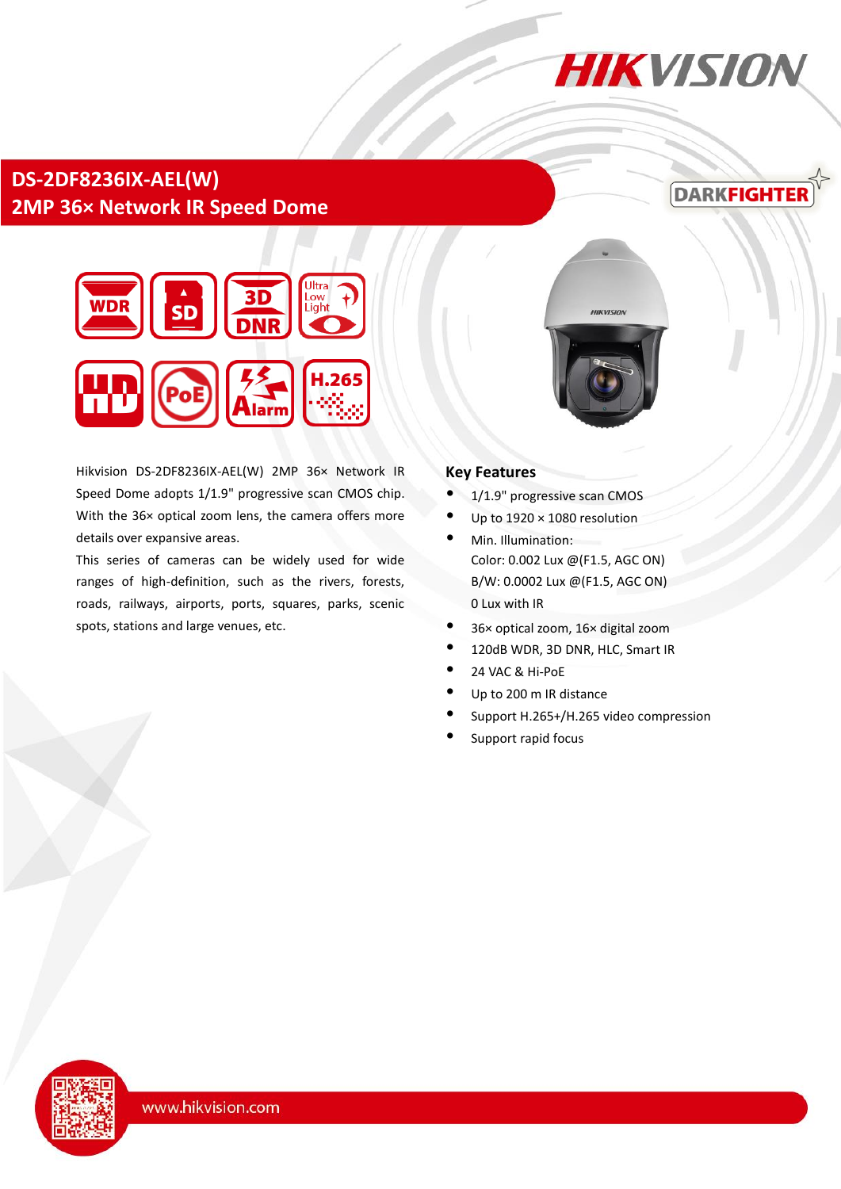# **HIKVISION**

## **DS-2DF8236IX-AEL(W) 2MP 36× Network IR Speed Dome**

## **DARKFIGHTE**



Hikvision DS-2DF8236IX-AEL(W) 2MP 36× Network IR Speed Dome adopts 1/1.9" progressive scan CMOS chip. With the 36× optical zoom lens, the camera offers more details over expansive areas.

This series of cameras can be widely used for wide ranges of high-definition, such as the rivers, forests, roads, railways, airports, ports, squares, parks, scenic spots, stations and large venues, etc.



#### **Key Features**

- 1/1.9" progressive scan CMOS
- Up to  $1920 \times 1080$  resolution
- Min. Illumination: Color: 0.002 Lux @(F1.5, AGC ON) B/W: 0.0002 Lux @(F1.5, AGC ON) 0 Lux with IR
- 36× optical zoom, 16× digital zoom
- 120dB WDR, 3D DNR, HLC, Smart IR
- 24 VAC & Hi-PoE
- Up to 200 m IR distance
- Support H.265+/H.265 video compression
- Support rapid focus

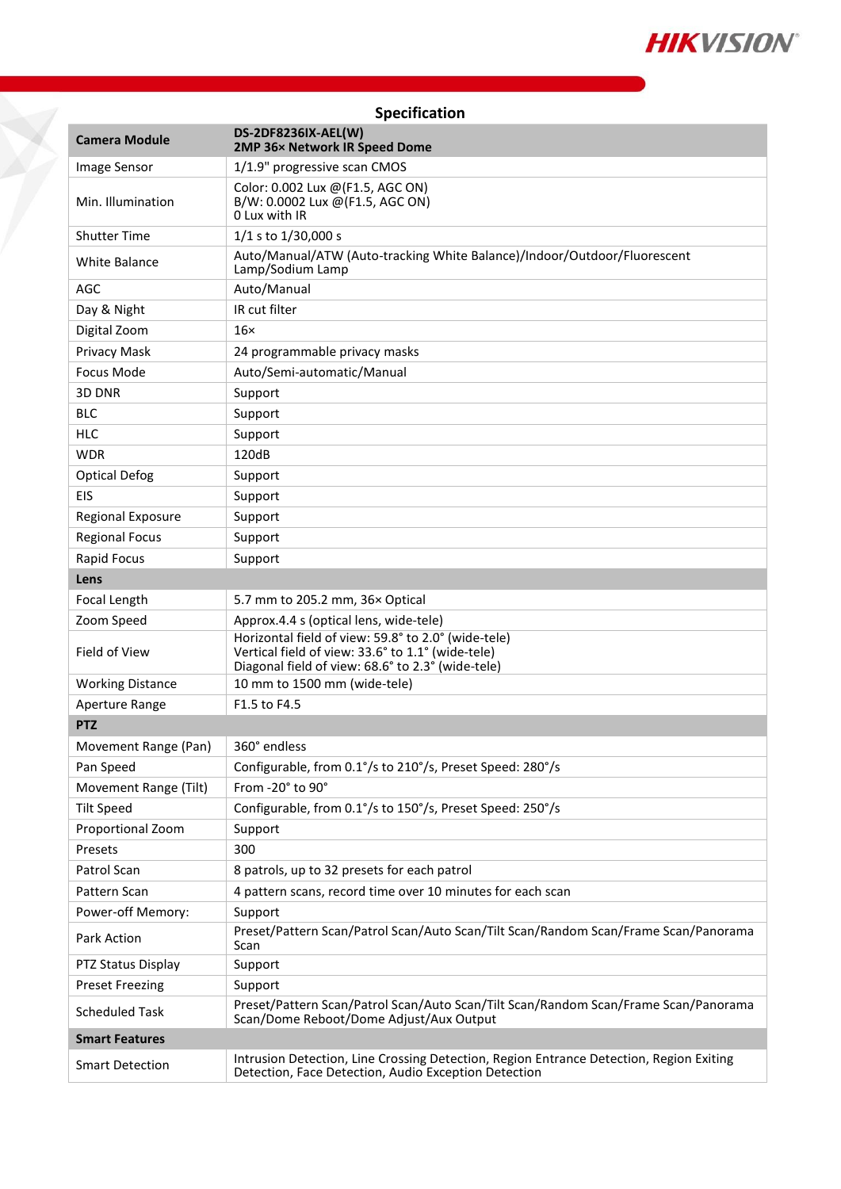

| Specification            |                                                                                                                                                               |  |  |
|--------------------------|---------------------------------------------------------------------------------------------------------------------------------------------------------------|--|--|
| <b>Camera Module</b>     | DS-2DF8236IX-AEL(W)<br>2MP 36x Network IR Speed Dome                                                                                                          |  |  |
| Image Sensor             | 1/1.9" progressive scan CMOS                                                                                                                                  |  |  |
| Min. Illumination        | Color: 0.002 Lux @(F1.5, AGC ON)<br>B/W: 0.0002 Lux @(F1.5, AGC ON)<br>0 Lux with IR                                                                          |  |  |
| <b>Shutter Time</b>      | 1/1 s to 1/30,000 s                                                                                                                                           |  |  |
| <b>White Balance</b>     | Auto/Manual/ATW (Auto-tracking White Balance)/Indoor/Outdoor/Fluorescent<br>Lamp/Sodium Lamp                                                                  |  |  |
| <b>AGC</b>               | Auto/Manual                                                                                                                                                   |  |  |
| Day & Night              | IR cut filter                                                                                                                                                 |  |  |
| Digital Zoom             | $16\times$                                                                                                                                                    |  |  |
| Privacy Mask             | 24 programmable privacy masks                                                                                                                                 |  |  |
| Focus Mode               | Auto/Semi-automatic/Manual                                                                                                                                    |  |  |
| 3D DNR                   | Support                                                                                                                                                       |  |  |
| <b>BLC</b>               | Support                                                                                                                                                       |  |  |
| <b>HLC</b>               | Support                                                                                                                                                       |  |  |
| <b>WDR</b>               | 120dB                                                                                                                                                         |  |  |
| <b>Optical Defog</b>     | Support                                                                                                                                                       |  |  |
| <b>EIS</b>               | Support                                                                                                                                                       |  |  |
| <b>Regional Exposure</b> | Support                                                                                                                                                       |  |  |
| <b>Regional Focus</b>    | Support                                                                                                                                                       |  |  |
| Rapid Focus              | Support                                                                                                                                                       |  |  |
| Lens                     |                                                                                                                                                               |  |  |
| Focal Length             | 5.7 mm to 205.2 mm, 36x Optical                                                                                                                               |  |  |
| Zoom Speed               | Approx.4.4 s (optical lens, wide-tele)                                                                                                                        |  |  |
| Field of View            | Horizontal field of view: 59.8° to 2.0° (wide-tele)<br>Vertical field of view: 33.6° to 1.1° (wide-tele)<br>Diagonal field of view: 68.6° to 2.3° (wide-tele) |  |  |
| <b>Working Distance</b>  | 10 mm to 1500 mm (wide-tele)                                                                                                                                  |  |  |
| Aperture Range           | F1.5 to F4.5                                                                                                                                                  |  |  |
| <b>PTZ</b>               |                                                                                                                                                               |  |  |
| Movement Range (Pan)     | 360° endless                                                                                                                                                  |  |  |
| Pan Speed                | Configurable, from 0.1°/s to 210°/s, Preset Speed: 280°/s                                                                                                     |  |  |
| Movement Range (Tilt)    | From -20° to 90°                                                                                                                                              |  |  |
| <b>Tilt Speed</b>        | Configurable, from 0.1°/s to 150°/s, Preset Speed: 250°/s                                                                                                     |  |  |
| Proportional Zoom        | Support                                                                                                                                                       |  |  |
| Presets                  | 300                                                                                                                                                           |  |  |
| Patrol Scan              | 8 patrols, up to 32 presets for each patrol                                                                                                                   |  |  |
| Pattern Scan             | 4 pattern scans, record time over 10 minutes for each scan                                                                                                    |  |  |
| Power-off Memory:        | Support                                                                                                                                                       |  |  |
| Park Action              | Preset/Pattern Scan/Patrol Scan/Auto Scan/Tilt Scan/Random Scan/Frame Scan/Panorama<br>Scan                                                                   |  |  |
| PTZ Status Display       | Support                                                                                                                                                       |  |  |
| <b>Preset Freezing</b>   | Support                                                                                                                                                       |  |  |
| <b>Scheduled Task</b>    | Preset/Pattern Scan/Patrol Scan/Auto Scan/Tilt Scan/Random Scan/Frame Scan/Panorama<br>Scan/Dome Reboot/Dome Adjust/Aux Output                                |  |  |
| <b>Smart Features</b>    |                                                                                                                                                               |  |  |
| <b>Smart Detection</b>   | Intrusion Detection, Line Crossing Detection, Region Entrance Detection, Region Exiting<br>Detection, Face Detection, Audio Exception Detection               |  |  |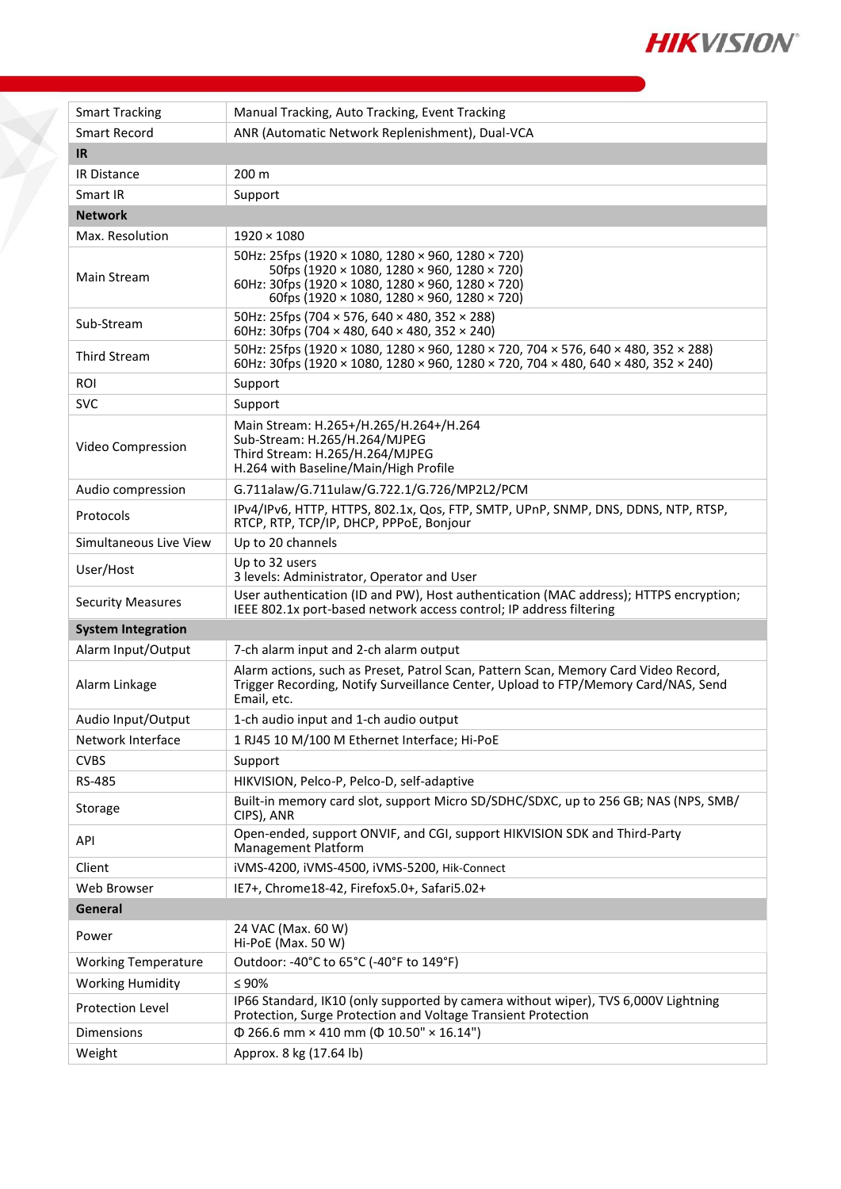

| <b>Smart Tracking</b>      | Manual Tracking, Auto Tracking, Event Tracking                                                                                                                                                       |  |  |  |
|----------------------------|------------------------------------------------------------------------------------------------------------------------------------------------------------------------------------------------------|--|--|--|
| <b>Smart Record</b>        | ANR (Automatic Network Replenishment), Dual-VCA                                                                                                                                                      |  |  |  |
| <b>IR</b>                  |                                                                                                                                                                                                      |  |  |  |
| IR Distance                | 200 m                                                                                                                                                                                                |  |  |  |
| Smart IR                   | Support                                                                                                                                                                                              |  |  |  |
| <b>Network</b>             |                                                                                                                                                                                                      |  |  |  |
| Max. Resolution            | $1920 \times 1080$                                                                                                                                                                                   |  |  |  |
| Main Stream                | 50Hz: 25fps (1920 × 1080, 1280 × 960, 1280 × 720)<br>50fps (1920 × 1080, 1280 × 960, 1280 × 720)<br>60Hz: 30fps (1920 × 1080, 1280 × 960, 1280 × 720)<br>60fps (1920 × 1080, 1280 × 960, 1280 × 720) |  |  |  |
| Sub-Stream                 | 50Hz: 25fps (704 × 576, 640 × 480, 352 × 288)<br>60Hz: 30fps (704 $\times$ 480, 640 $\times$ 480, 352 $\times$ 240)                                                                                  |  |  |  |
| Third Stream               | 50Hz: 25fps (1920 × 1080, 1280 × 960, 1280 × 720, 704 × 576, 640 × 480, 352 × 288)<br>60Hz: 30fps (1920 × 1080, 1280 × 960, 1280 × 720, 704 × 480, 640 × 480, 352 × 240)                             |  |  |  |
| ROI                        | Support                                                                                                                                                                                              |  |  |  |
| <b>SVC</b>                 | Support                                                                                                                                                                                              |  |  |  |
| Video Compression          | Main Stream: H.265+/H.265/H.264+/H.264<br>Sub-Stream: H.265/H.264/MJPEG<br>Third Stream: H.265/H.264/MJPEG<br>H.264 with Baseline/Main/High Profile                                                  |  |  |  |
| Audio compression          | G.711alaw/G.711ulaw/G.722.1/G.726/MP2L2/PCM                                                                                                                                                          |  |  |  |
| Protocols                  | IPv4/IPv6, HTTP, HTTPS, 802.1x, Qos, FTP, SMTP, UPnP, SNMP, DNS, DDNS, NTP, RTSP,<br>RTCP, RTP, TCP/IP, DHCP, PPPoE, Bonjour                                                                         |  |  |  |
| Simultaneous Live View     | Up to 20 channels                                                                                                                                                                                    |  |  |  |
| User/Host                  | Up to 32 users<br>3 levels: Administrator, Operator and User                                                                                                                                         |  |  |  |
| <b>Security Measures</b>   | User authentication (ID and PW), Host authentication (MAC address); HTTPS encryption;<br>IEEE 802.1x port-based network access control; IP address filtering                                         |  |  |  |
| <b>System Integration</b>  |                                                                                                                                                                                                      |  |  |  |
| Alarm Input/Output         | 7-ch alarm input and 2-ch alarm output                                                                                                                                                               |  |  |  |
| Alarm Linkage              | Alarm actions, such as Preset, Patrol Scan, Pattern Scan, Memory Card Video Record,<br>Trigger Recording, Notify Surveillance Center, Upload to FTP/Memory Card/NAS, Send<br>Email, etc.             |  |  |  |
|                            |                                                                                                                                                                                                      |  |  |  |
| Audio Input/Output         | 1-ch audio input and 1-ch audio output                                                                                                                                                               |  |  |  |
| Network Interface          | 1 RJ45 10 M/100 M Ethernet Interface; Hi-PoE                                                                                                                                                         |  |  |  |
| <b>CVBS</b>                | Support                                                                                                                                                                                              |  |  |  |
| RS-485                     | HIKVISION, Pelco-P, Pelco-D, self-adaptive                                                                                                                                                           |  |  |  |
| Storage                    | Built-in memory card slot, support Micro SD/SDHC/SDXC, up to 256 GB; NAS (NPS, SMB/<br>CIPS), ANR                                                                                                    |  |  |  |
| API                        | Open-ended, support ONVIF, and CGI, support HIKVISION SDK and Third-Party<br>Management Platform                                                                                                     |  |  |  |
| Client                     | iVMS-4200, iVMS-4500, iVMS-5200, Hik-Connect                                                                                                                                                         |  |  |  |
| Web Browser                | IE7+, Chrome18-42, Firefox5.0+, Safari5.02+                                                                                                                                                          |  |  |  |
| General                    |                                                                                                                                                                                                      |  |  |  |
| Power                      | 24 VAC (Max. 60 W)<br>Hi-PoE (Max. 50 W)                                                                                                                                                             |  |  |  |
| <b>Working Temperature</b> | Outdoor: -40°C to 65°C (-40°F to 149°F)                                                                                                                                                              |  |  |  |
| <b>Working Humidity</b>    | $\leq 90\%$                                                                                                                                                                                          |  |  |  |
| Protection Level           | IP66 Standard, IK10 (only supported by camera without wiper), TVS 6,000V Lightning<br>Protection, Surge Protection and Voltage Transient Protection                                                  |  |  |  |
| Dimensions<br>Weight       | $\Phi$ 266.6 mm × 410 mm ( $\Phi$ 10.50" × 16.14")<br>Approx. 8 kg (17.64 lb)                                                                                                                        |  |  |  |

 $\bigtimes$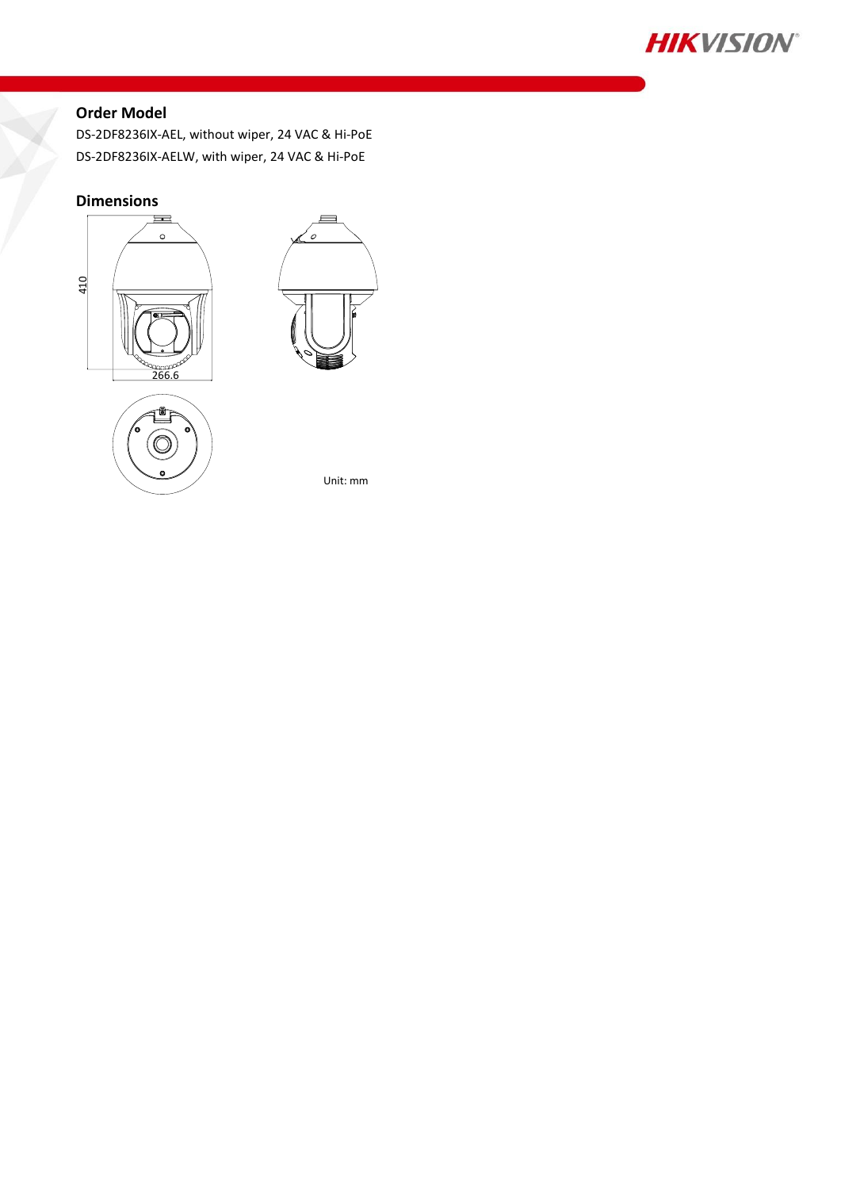

### **Order Model**

DS-2DF8236IX-AEL, without wiper, 24 VAC & Hi-PoE DS-2DF8236IX-AELW, with wiper, 24 VAC & Hi-PoE

#### **Dimensions**







Unit: mm